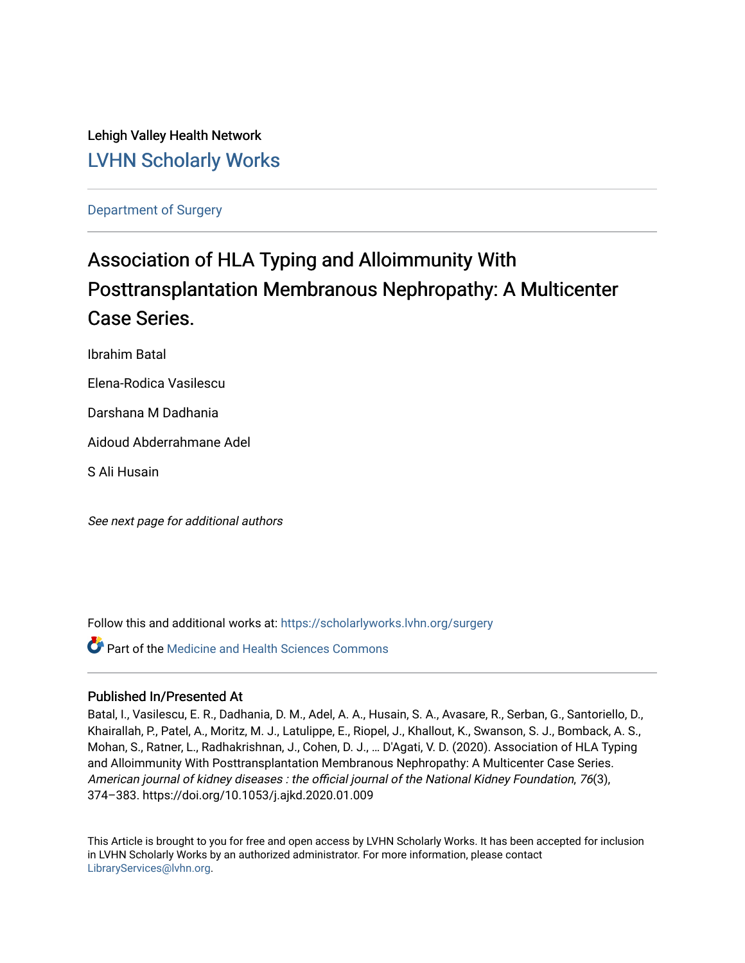Lehigh Valley Health Network [LVHN Scholarly Works](https://scholarlyworks.lvhn.org/)

[Department of Surgery](https://scholarlyworks.lvhn.org/surgery) 

# Association of HLA Typing and Alloimmunity With Posttransplantation Membranous Nephropathy: A Multicenter Case Series.

Ibrahim Batal

Elena-Rodica Vasilescu

Darshana M Dadhania

Aidoud Abderrahmane Adel

S Ali Husain

See next page for additional authors

Follow this and additional works at: [https://scholarlyworks.lvhn.org/surgery](https://scholarlyworks.lvhn.org/surgery?utm_source=scholarlyworks.lvhn.org%2Fsurgery%2F1557&utm_medium=PDF&utm_campaign=PDFCoverPages)

Part of the [Medicine and Health Sciences Commons](https://network.bepress.com/hgg/discipline/648?utm_source=scholarlyworks.lvhn.org%2Fsurgery%2F1557&utm_medium=PDF&utm_campaign=PDFCoverPages) 

# Published In/Presented At

Batal, I., Vasilescu, E. R., Dadhania, D. M., Adel, A. A., Husain, S. A., Avasare, R., Serban, G., Santoriello, D., Khairallah, P., Patel, A., Moritz, M. J., Latulippe, E., Riopel, J., Khallout, K., Swanson, S. J., Bomback, A. S., Mohan, S., Ratner, L., Radhakrishnan, J., Cohen, D. J., … D'Agati, V. D. (2020). Association of HLA Typing and Alloimmunity With Posttransplantation Membranous Nephropathy: A Multicenter Case Series. American journal of kidney diseases : the official journal of the National Kidney Foundation, 76(3), 374–383. https://doi.org/10.1053/j.ajkd.2020.01.009

This Article is brought to you for free and open access by LVHN Scholarly Works. It has been accepted for inclusion in LVHN Scholarly Works by an authorized administrator. For more information, please contact [LibraryServices@lvhn.org](mailto:LibraryServices@lvhn.org).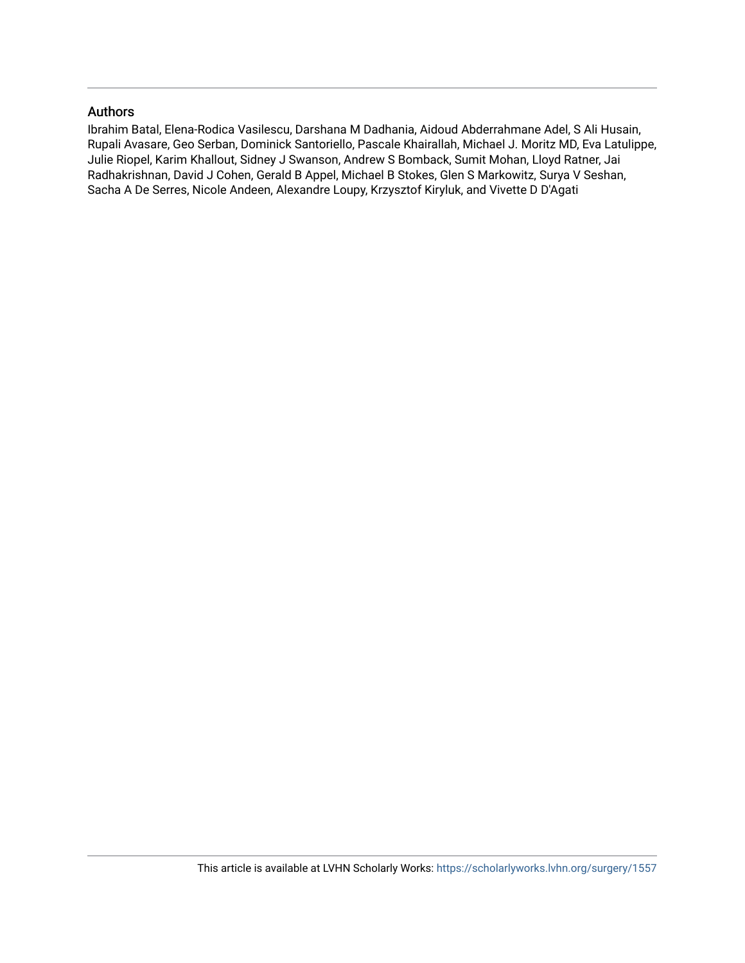# Authors

Ibrahim Batal, Elena-Rodica Vasilescu, Darshana M Dadhania, Aidoud Abderrahmane Adel, S Ali Husain, Rupali Avasare, Geo Serban, Dominick Santoriello, Pascale Khairallah, Michael J. Moritz MD, Eva Latulippe, Julie Riopel, Karim Khallout, Sidney J Swanson, Andrew S Bomback, Sumit Mohan, Lloyd Ratner, Jai Radhakrishnan, David J Cohen, Gerald B Appel, Michael B Stokes, Glen S Markowitz, Surya V Seshan, Sacha A De Serres, Nicole Andeen, Alexandre Loupy, Krzysztof Kiryluk, and Vivette D D'Agati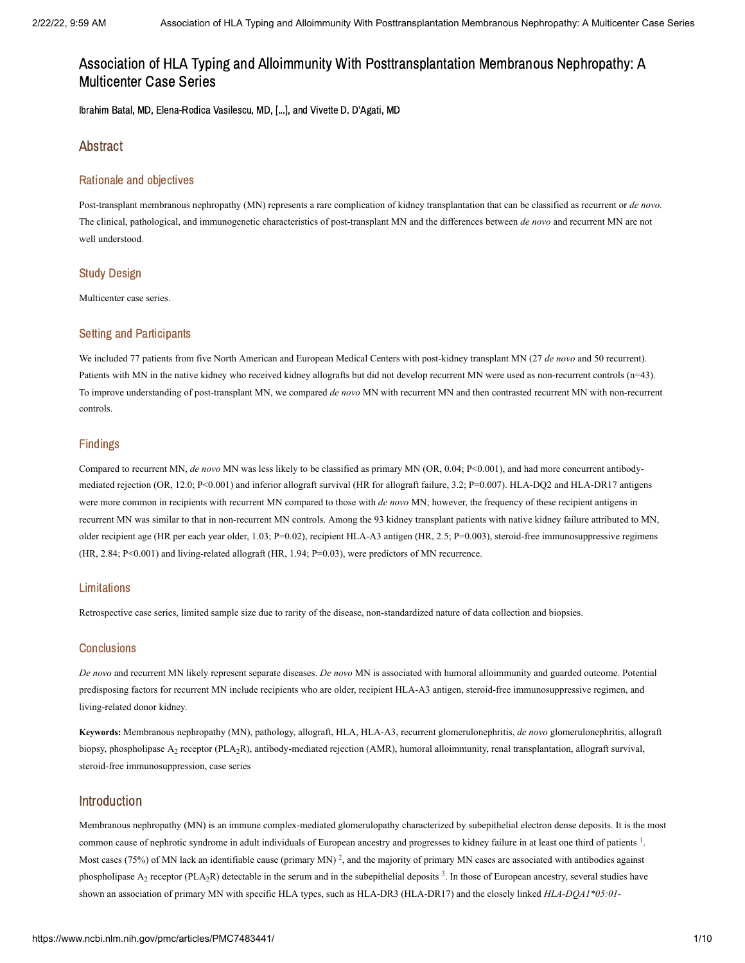Ibrahim Batal, MD, Elena-Rodica Vasilescu, MD, [...], and Vivette D. D'Agati, MD

#### Abstract

#### Rationale and objectives

Post-transplant membranous nephropathy (MN) represents a rare complication of kidney transplantation that can be classified as recurrent or *de novo.* The clinical, pathological, and immunogenetic characteristics of post-transplant MN and the differences between *de novo* and recurrent MN are not well understood.

#### Study Design

Multicenter case series.

#### Setting and Participants

We included 77 patients from five North American and European Medical Centers with post-kidney transplant MN (27 *de novo* and 50 recurrent). Patients with MN in the native kidney who received kidney allografts but did not develop recurrent MN were used as non-recurrent controls (n=43). To improve understanding of post-transplant MN, we compared *de novo* MN with recurrent MN and then contrasted recurrent MN with non-recurrent controls.

#### Findings

Compared to recurrent MN, *de novo* MN was less likely to be classified as primary MN (OR, 0.04; P<0.001), and had more concurrent antibodymediated rejection (OR, 12.0; P<0.001) and inferior allograft survival (HR for allograft failure, 3.2; P=0.007). HLA-DQ2 and HLA-DR17 antigens were more common in recipients with recurrent MN compared to those with *de novo* MN; however, the frequency of these recipient antigens in recurrent MN was similar to that in non-recurrent MN controls. Among the 93 kidney transplant patients with native kidney failure attributed to MN, older recipient age (HR per each year older, 1.03; P=0.02), recipient HLA-A3 antigen (HR, 2.5; P=0.003), steroid-free immunosuppressive regimens (HR, 2.84; P<0.001) and living-related allograft (HR, 1.94; P=0.03), were predictors of MN recurrence.

#### Limitations

Retrospective case series, limited sample size due to rarity of the disease, non-standardized nature of data collection and biopsies.

#### **Conclusions**

*De novo* and recurrent MN likely represent separate diseases. *De novo* MN is associated with humoral alloimmunity and guarded outcome. Potential predisposing factors for recurrent MN include recipients who are older, recipient HLA-A3 antigen, steroid-free immunosuppressive regimen, and living-related donor kidney.

**Keywords:** Membranous nephropathy (MN), pathology, allograft, HLA, HLA-A3, recurrent glomerulonephritis, *de novo* glomerulonephritis, allograft biopsy, phospholipase A<sub>2</sub> receptor (PLA<sub>2</sub>R), antibody-mediated rejection (AMR), humoral alloimmunity, renal transplantation, allograft survival, steroid-free immunosuppression, case series

### Introduction

Membranous nephropathy (MN) is an immune complex-mediated glomerulopathy characterized by subepithelial electron dense deposits. It is the most common cause of nephrotic syndrome in adult individuals of European ancestry and progresses to kidney failure in at least one third of patients <sup>[1](#page-8-0)</sup>. Most cases (75%) of MN lack an identifiable cause (primary MN)<sup>[2](#page-9-0)</sup>, and the majority of primary MN cases are associated with antibodies against phospholipase A<sub>2</sub> receptor (PLA<sub>2</sub>R) detectable in the serum and in the subepithelial deposits  $3$ . In those of European ancestry, several studies have shown an association of primary MN with specific HLA types, such as HLA-DR3 (HLA-DR17) and the closely linked *HLA-DQA1\*05:01-*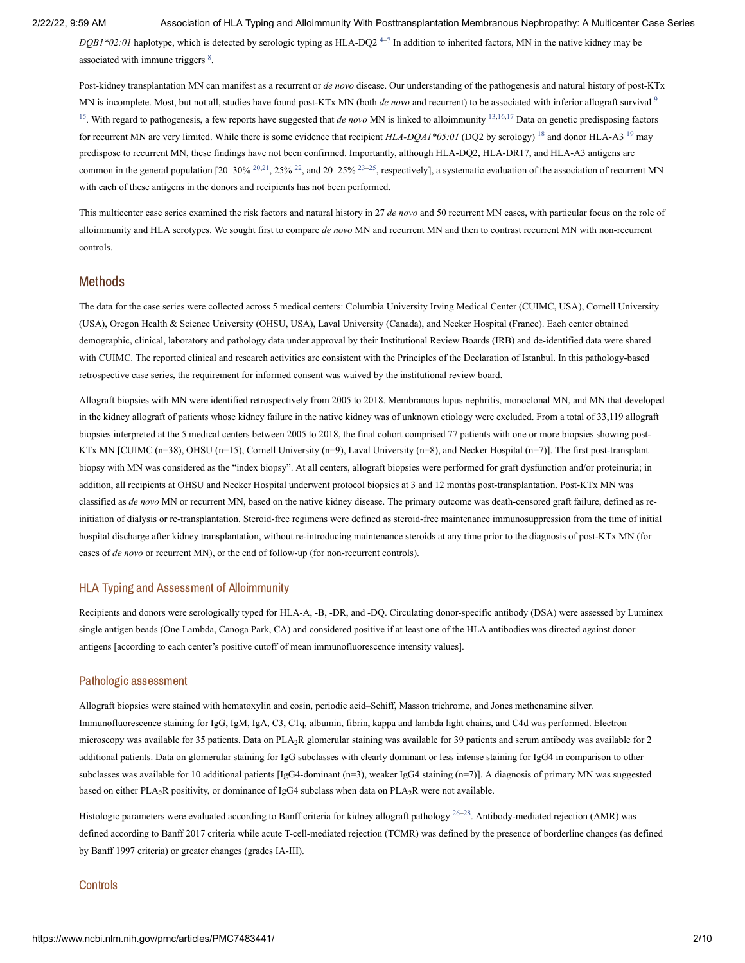$DQBI*02:01$  haplotype, which is detected by serologic typing as HLA-DQ2<sup>4-[7](#page-9-3)</sup> In addition to inherited factors, MN in the native kidney may be associated with immune triggers  $8$ .

Post-kidney transplantation MN can manifest as a recurrent or *de novo* disease. Our understanding of the pathogenesis and natural history of post-KTx MN is incomplete. Most, but not all, studies have found post-KTx MN (both *de novo* and recurrent) to be associated with inferior allograft survival <sup>[9](#page-9-5)–</sup> <sup>[15](#page-9-6)</sup>. With regard to pathogenesis, a few reports have suggested that *de novo* MN is linked to alloimmunity <sup>[13,](#page-9-7)[16,](#page-9-8)[17](#page-9-9)</sup> Data on genetic predisposing factors for recurrent MN are very limited. While there is some evidence that recipient  $HLA-DQA$ <sup>+8</sup> $5:01$  (DQ2 by serology) <sup>[18](#page-9-10)</sup> and donor HLA-A3<sup>[19](#page-9-11)</sup> may predispose to recurrent MN, these findings have not been confirmed. Importantly, although HLA-DQ2, HLA-DR17, and HLA-A3 antigens are common in the general population [20–30%  $^{20,21}$  $^{20,21}$  $^{20,21}$  $^{20,21}$ , [25](#page-10-1)%  $^{22}$  $^{22}$  $^{22}$ , and 20–25%  $^{23-25}$  $^{23-25}$  $^{23-25}$ , respectively], a systematic evaluation of the association of recurrent MN with each of these antigens in the donors and recipients has not been performed.

This multicenter case series examined the risk factors and natural history in 27 *de novo* and 50 recurrent MN cases, with particular focus on the role of alloimmunity and HLA serotypes. We sought first to compare *de novo* MN and recurrent MN and then to contrast recurrent MN with non-recurrent controls.

#### Methods

The data for the case series were collected across 5 medical centers: Columbia University Irving Medical Center (CUIMC, USA), Cornell University (USA), Oregon Health & Science University (OHSU, USA), Laval University (Canada), and Necker Hospital (France). Each center obtained demographic, clinical, laboratory and pathology data under approval by their Institutional Review Boards (IRB) and de-identified data were shared with CUIMC. The reported clinical and research activities are consistent with the Principles of the Declaration of Istanbul. In this pathology-based retrospective case series, the requirement for informed consent was waived by the institutional review board.

Allograft biopsies with MN were identified retrospectively from 2005 to 2018. Membranous lupus nephritis, monoclonal MN, and MN that developed in the kidney allograft of patients whose kidney failure in the native kidney was of unknown etiology were excluded. From a total of 33,119 allograft biopsies interpreted at the 5 medical centers between 2005 to 2018, the final cohort comprised 77 patients with one or more biopsies showing post-KTx MN [CUIMC (n=38), OHSU (n=15), Cornell University (n=9), Laval University (n=8), and Necker Hospital (n=7)]. The first post-transplant biopsy with MN was considered as the "index biopsy". At all centers, allograft biopsies were performed for graft dysfunction and/or proteinuria; in addition, all recipients at OHSU and Necker Hospital underwent protocol biopsies at 3 and 12 months post-transplantation. Post-KTx MN was classified as *de novo* MN or recurrent MN, based on the native kidney disease. The primary outcome was death-censored graft failure, defined as reinitiation of dialysis or re-transplantation. Steroid-free regimens were defined as steroid-free maintenance immunosuppression from the time of initial hospital discharge after kidney transplantation, without re-introducing maintenance steroids at any time prior to the diagnosis of post-KTx MN (for cases of *de novo* or recurrent MN), or the end of follow-up (for non-recurrent controls).

#### HLA Typing and Assessment of Alloimmunity

Recipients and donors were serologically typed for HLA-A, -B, -DR, and -DQ. Circulating donor-specific antibody (DSA) were assessed by Luminex single antigen beads (One Lambda, Canoga Park, CA) and considered positive if at least one of the HLA antibodies was directed against donor antigens [according to each center's positive cutoff of mean immunofluorescence intensity values].

#### Pathologic assessment

Allograft biopsies were stained with hematoxylin and eosin, periodic acid–Schiff, Masson trichrome, and Jones methenamine silver. Immunofluorescence staining for IgG, IgM, IgA, C3, C1q, albumin, fibrin, kappa and lambda light chains, and C4d was performed. Electron microscopy was available for 35 patients. Data on PLA<sub>2</sub>R glomerular staining was available for 39 patients and serum antibody was available for 2 additional patients. Data on glomerular staining for IgG subclasses with clearly dominant or less intense staining for IgG4 in comparison to other subclasses was available for 10 additional patients [IgG4-dominant (n=3), weaker IgG4 staining (n=7)]. A diagnosis of primary MN was suggested based on either  $PLA_2R$  positivity, or dominance of IgG4 subclass when data on  $PLA_2R$  were not available.

Histologic parameters were evaluated according to Banff criteria for kidney allograft pathology  $2^{6-28}$ . Antibody-mediated rejection (AMR) was defined according to Banff 2017 criteria while acute T-cell-mediated rejection (TCMR) was defined by the presence of borderline changes (as defined by Banff 1997 criteria) or greater changes (grades IA-III).

#### **Controls**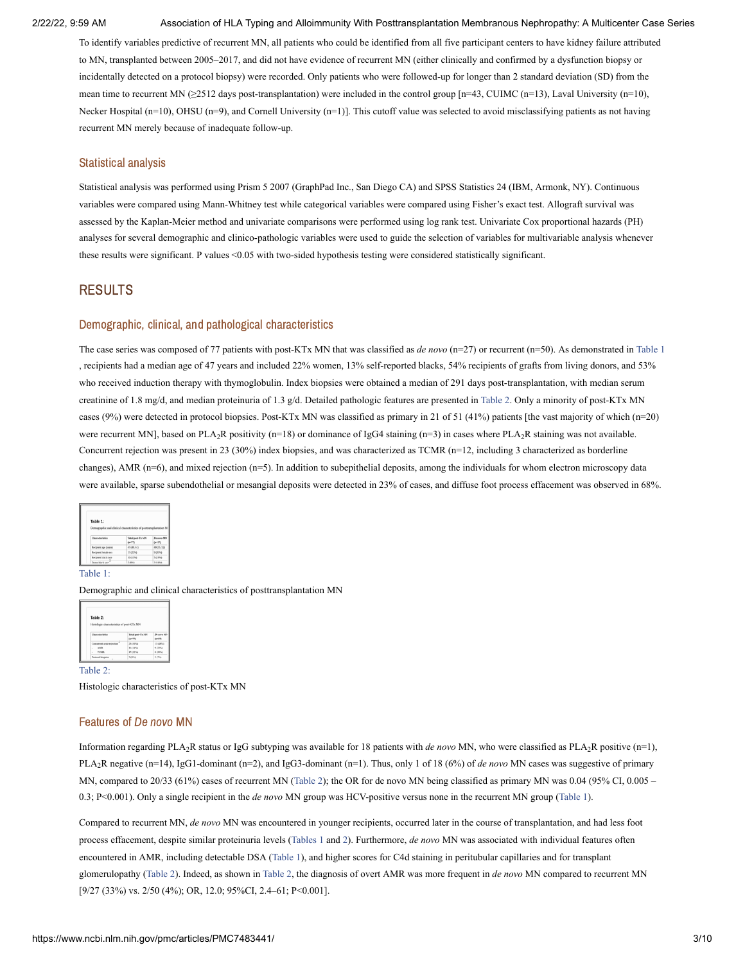To identify variables predictive of recurrent MN, all patients who could be identified from all five participant centers to have kidney failure attributed to MN, transplanted between 2005–2017, and did not have evidence of recurrent MN (either clinically and confirmed by a dysfunction biopsy or incidentally detected on a protocol biopsy) were recorded. Only patients who were followed-up for longer than 2 standard deviation (SD) from the mean time to recurrent MN (≥2512 days post-transplantation) were included in the control group [n=43, CUIMC (n=13), Laval University (n=10), Necker Hospital (n=10), OHSU (n=9), and Cornell University (n=1)]. This cutoff value was selected to avoid misclassifying patients as not having recurrent MN merely because of inadequate follow-up.

#### Statistical analysis

Statistical analysis was performed using Prism 5 2007 (GraphPad Inc., San Diego CA) and SPSS Statistics 24 (IBM, Armonk, NY). Continuous variables were compared using Mann-Whitney test while categorical variables were compared using Fisher's exact test. Allograft survival was assessed by the Kaplan-Meier method and univariate comparisons were performed using log rank test. Univariate Cox proportional hazards (PH) analyses for several demographic and clinico-pathologic variables were used to guide the selection of variables for multivariable analysis whenever these results were significant. P values <0.05 with two-sided hypothesis testing were considered statistically significant.

#### RESULTS

#### Demographic, clinical, and pathological characteristics

The case series was composed of 77 patients with post-KTx MN that was classified as *de novo* (n=27) or recurrent (n=50). As demonstrated in [Table](https://www.ncbi.nlm.nih.gov/pmc/articles/PMC7483441/table/T1/?report=objectonly) 1 , recipients had a median age of 47 years and included 22% women, 13% self-reported blacks, 54% recipients of grafts from living donors, and 53% who received induction therapy with thymoglobulin. Index biopsies were obtained a median of 291 days post-transplantation, with median serum creatinine of 1.8 mg/d, and median proteinuria of 1.3 g/d. Detailed pathologic features are presented in [Table](https://www.ncbi.nlm.nih.gov/pmc/articles/PMC7483441/table/T2/?report=objectonly) 2. Only a minority of post-KTx MN cases (9%) were detected in protocol biopsies. Post-KTx MN was classified as primary in 21 of 51 (41%) patients [the vast majority of which (n=20) were recurrent MN], based on PLA<sub>2</sub>R positivity (n=18) or dominance of IgG4 staining (n=3) in cases where PLA<sub>2</sub>R staining was not available. Concurrent rejection was present in 23 (30%) index biopsies, and was characterized as TCMR (n=12, including 3 characterized as borderline changes), AMR (n=6), and mixed rejection (n=5). In addition to subepithelial deposits, among the individuals for whom electron microscopy data were available, sparse subendothelial or mesangial deposits were detected in 23% of cases, and diffuse foot process effacement was observed in 68%.

| Table 1:              | Demographic and clinical characteristics of posttransplantation M |            |
|-----------------------|-------------------------------------------------------------------|------------|
| Characteristics       | Total post-Tx MN                                                  | De novo MN |
|                       | $(4^{n/77})$                                                      | $04*27$    |
| Recipient age (years) | 47(40, 61)                                                        | 40(35, 52) |
| Recipient female sex  | 17 (22%)                                                          | 9 (33%)    |
| Recipient black race  | 10 (13%)                                                          | 5 (19%)    |

#### [Table](https://www.ncbi.nlm.nih.gov/pmc/articles/PMC7483441/table/T1/?report=objectonly) 1:

Demographic and clinical characteristics of posttransplantation MN

| Table 2:                                  |                              |                        |
|-------------------------------------------|------------------------------|------------------------|
| Histologic characteristics of post-KTx MN |                              |                        |
| Characterbilles                           | Total peat-Tx MN<br>$(m+77)$ | De novo MN<br>$(m=27)$ |
|                                           |                              |                        |
| Concurrent acute rejection.               | 23 (30%)                     | 13 (48%)               |
| AMR<br>u                                  | 11 (14%)                     | 9(335)                 |
| TCMR<br>×.                                | 17 (22%)                     | 8 (30%)                |

[Table](https://www.ncbi.nlm.nih.gov/pmc/articles/PMC7483441/table/T2/?report=objectonly) 2:

Histologic characteristics of post-KTx MN

#### Features of De novo MN

Information regarding PLA<sub>2</sub>R status or IgG subtyping was available for 18 patients with *de novo* MN, who were classified as PLA<sub>2</sub>R positive (n=1), PLA<sub>2</sub>R negative (n=14), IgG1-dominant (n=2), and IgG3-dominant (n=1). Thus, only 1 of 18 (6%) of *de novo* MN cases was suggestive of primary MN, compared to 20/33 (61%) cases of recurrent MN ([Table](https://www.ncbi.nlm.nih.gov/pmc/articles/PMC7483441/table/T2/?report=objectonly) 2); the OR for de novo MN being classified as primary MN was 0.04 (95% CI, 0.005 – 0.3; P<0.001). Only a single recipient in the *de novo* MN group was HCV-positive versus none in the recurrent MN group ([Table](https://www.ncbi.nlm.nih.gov/pmc/articles/PMC7483441/table/T1/?report=objectonly) 1).

Compared to recurrent MN, *de novo* MN was encountered in younger recipients, occurred later in the course of transplantation, and had less foot process effacement, despite similar proteinuria levels ([Tables](https://www.ncbi.nlm.nih.gov/pmc/articles/PMC7483441/table/T1/?report=objectonly) 1 [and](https://www.ncbi.nlm.nih.gov/pmc/articles/PMC7483441/table/T2/?report=objectonly) 2). Furthermore, *de novo* MN was associated with individual features often encountered in AMR, including detectable DSA ([Table](https://www.ncbi.nlm.nih.gov/pmc/articles/PMC7483441/table/T1/?report=objectonly) 1), and higher scores for C4d staining in peritubular capillaries and for transplant glomerulopathy [\(Table](https://www.ncbi.nlm.nih.gov/pmc/articles/PMC7483441/table/T2/?report=objectonly) 2). Indeed, as shown in [Table](https://www.ncbi.nlm.nih.gov/pmc/articles/PMC7483441/table/T2/?report=objectonly) 2, the diagnosis of overt AMR was more frequent in *de novo* MN compared to recurrent MN [9/27 (33%) vs. 2/50 (4%); OR, 12.0; 95%CI, 2.4–61; P<0.001].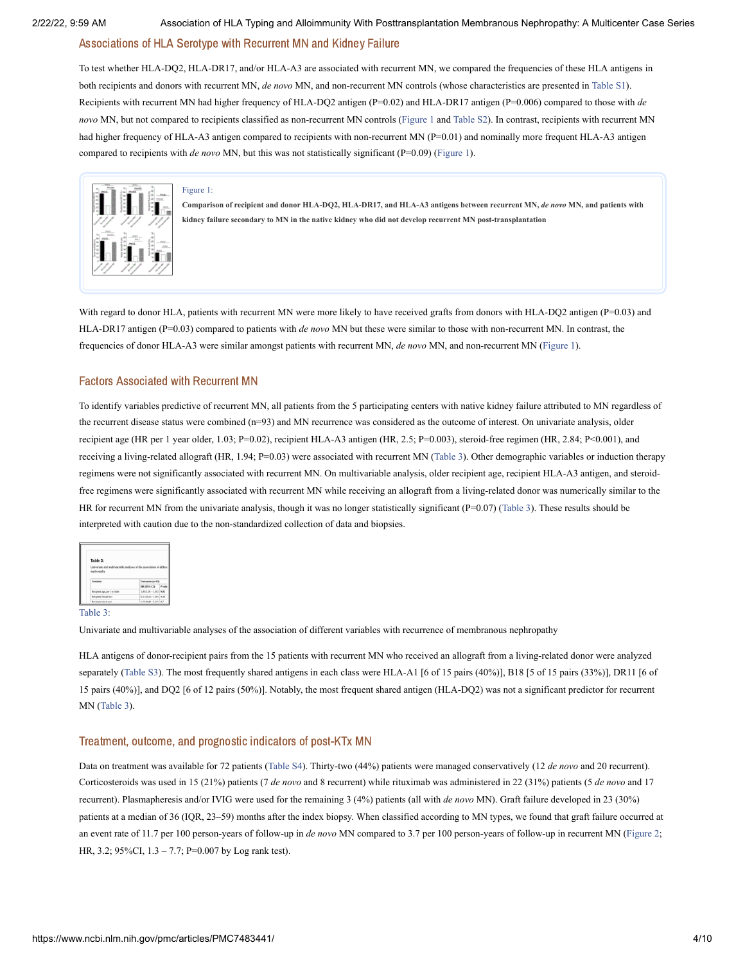#### Associations of HLA Serotype with Recurrent MN and Kidney Failure

To test whether HLA-DQ2, HLA-DR17, and/or HLA-A3 are associated with recurrent MN, we compared the frequencies of these HLA antigens in both recipients and donors with recurrent MN, *de novo* MN, and non-recurrent MN controls (whose characteristics are presented in [Table](#page-7-0) S1). Recipients with recurrent MN had higher frequency of HLA-DQ2 antigen (P=0.02) and HLA-DR17 antigen (P=0.006) compared to those with *de novo* MN, but not compared to recipients classified as non-recurrent MN controls [\(Figure](https://www.ncbi.nlm.nih.gov/pmc/articles/PMC7483441/figure/F1/?report=objectonly) 1 and [Table](#page-7-0) S2). In contrast, recipients with recurrent MN had higher frequency of HLA-A3 antigen compared to recipients with non-recurrent MN (P=0.01) and nominally more frequent HLA-A3 antigen compared to recipients with *de novo* MN, but this was not statistically significant (P=0.09) ([Figure](https://www.ncbi.nlm.nih.gov/pmc/articles/PMC7483441/figure/F1/?report=objectonly) 1).



#### [Figure](https://www.ncbi.nlm.nih.gov/pmc/articles/PMC7483441/figure/F1/?report=objectonly) 1:

Comparison of recipient and donor HLA-DQ2, HLA-DR17, and HLA-A3 antigens between recurrent MN, de novo MN, and patients with **kidney failure secondary to MN in the native kidney who did not develop recurrent MN post-transplantation**

With regard to donor HLA, patients with recurrent MN were more likely to have received grafts from donors with HLA-DQ2 antigen (P=0.03) and HLA-DR17 antigen (P=0.03) compared to patients with *de novo* MN but these were similar to those with non-recurrent MN. In contrast, the frequencies of donor HLA-A3 were similar amongst patients with recurrent MN, *de novo* MN, and non-recurrent MN [\(Figure](https://www.ncbi.nlm.nih.gov/pmc/articles/PMC7483441/figure/F1/?report=objectonly) 1).

#### Factors Associated with Recurrent MN

To identify variables predictive of recurrent MN, all patients from the 5 participating centers with native kidney failure attributed to MN regardless of the recurrent disease status were combined (n=93) and MN recurrence was considered as the outcome of interest. On univariate analysis, older recipient age (HR per 1 year older, 1.03; P=0.02), recipient HLA-A3 antigen (HR, 2.5; P=0.003), steroid-free regimen (HR, 2.84; P<0.001), and receiving a living-related allograft (HR, 1.94; P=0.03) were associated with recurrent MN [\(Table](https://www.ncbi.nlm.nih.gov/pmc/articles/PMC7483441/table/T3/?report=objectonly) 3). Other demographic variables or induction therapy regimens were not significantly associated with recurrent MN. On multivariable analysis, older recipient age, recipient HLA-A3 antigen, and steroidfree regimens were significantly associated with recurrent MN while receiving an allograft from a living-related donor was numerically similar to the HR for recurrent MN from the univariate analysis, though it was no longer statistically significant (P=0.07) ([Table](https://www.ncbi.nlm.nih.gov/pmc/articles/PMC7483441/table/T3/?report=objectonly) 3). These results should be interpreted with caution due to the non-standardized collection of data and biopsies.

| Table 3:                     |                          |
|------------------------------|--------------------------|
|                              |                          |
|                              |                          |
| <b>Variables</b>             | University (n=93)        |
|                              | Pash<br>HR (95% CI)      |
| Recipient age, per 1-v older | $1.03(1.01 - 1.05)$ 0.82 |
| Recipient female sex         | $0.51(0.24 - 1.09)$ 0.08 |

#### [Table](https://www.ncbi.nlm.nih.gov/pmc/articles/PMC7483441/table/T3/?report=objectonly) 3:

Univariate and multivariable analyses of the association of different variables with recurrence of membranous nephropathy

HLA antigens of donor-recipient pairs from the 15 patients with recurrent MN who received an allograft from a living-related donor were analyzed separately [\(Table](#page-7-0) S3). The most frequently shared antigens in each class were HLA-A1 [6 of 15 pairs (40%)], B18 [5 of 15 pairs (33%)], DR11 [6 of 15 pairs (40%)], and DQ2 [6 of 12 pairs (50%)]. Notably, the most frequent shared antigen (HLA-DQ2) was not a significant predictor for recurrent MN [\(Table](https://www.ncbi.nlm.nih.gov/pmc/articles/PMC7483441/table/T3/?report=objectonly) 3).

#### Treatment, outcome, and prognostic indicators of post-KTx MN

Data on treatment was available for 72 patients [\(Table](#page-7-0) S4). Thirty-two (44%) patients were managed conservatively (12 *de novo* and 20 recurrent). Corticosteroids was used in 15 (21%) patients (7 *de novo* and 8 recurrent) while rituximab was administered in 22 (31%) patients (5 *de novo* and 17 recurrent). Plasmapheresis and/or IVIG were used for the remaining 3 (4%) patients (all with *de novo* MN). Graft failure developed in 23 (30%) patients at a median of 36 (IQR, 23–59) months after the index biopsy. When classified according to MN types, we found that graft failure occurred at an event rate of 11.7 per 100 person-years of follow-up in *de novo* MN compared to 3.7 per 100 person-years of follow-up in recurrent MN [\(Figure](https://www.ncbi.nlm.nih.gov/pmc/articles/PMC7483441/figure/F2/?report=objectonly) 2; HR, 3.2; 95%CI, 1.3 – 7.7; P=0.007 by Log rank test).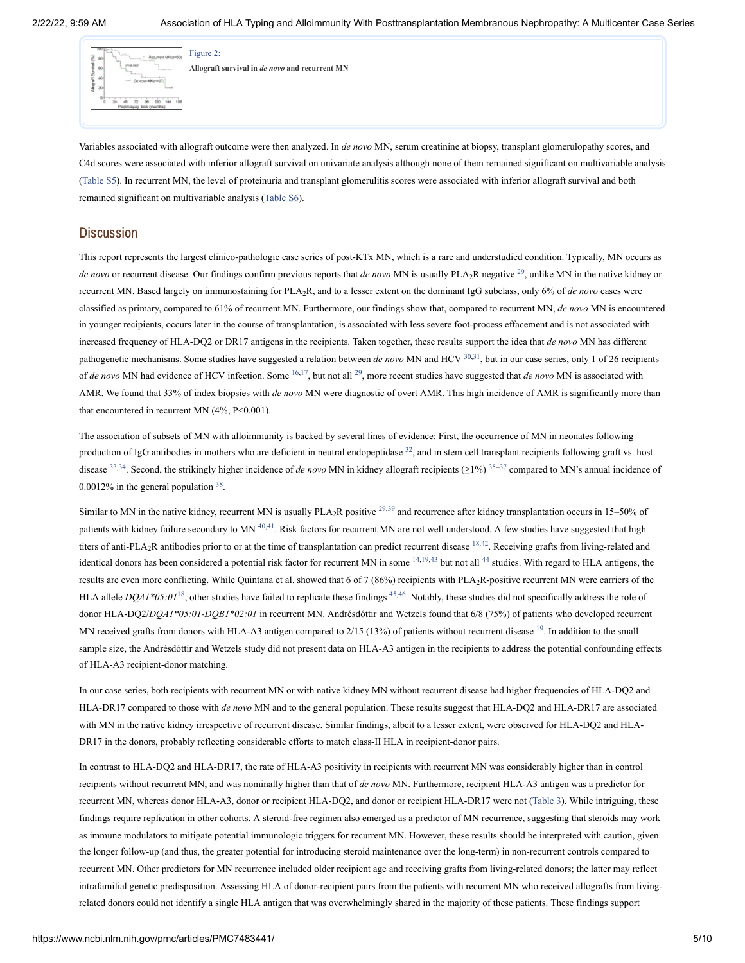

**Allograft survival in** *de novo* **and recurrent MN**

[Figure](https://www.ncbi.nlm.nih.gov/pmc/articles/PMC7483441/figure/F2/?report=objectonly) 2:

Variables associated with allograft outcome were then analyzed. In *de novo* MN, serum creatinine at biopsy, transplant glomerulopathy scores, and C4d scores were associated with inferior allograft survival on univariate analysis although none of them remained significant on multivariable analysis ([Table](#page-7-0) S5). In recurrent MN, the level of proteinuria and transplant glomerulitis scores were associated with inferior allograft survival and both remained significant on multivariable analysis [\(Table](#page-7-1) S6).

### **Discussion**

This report represents the largest clinico-pathologic case series of post-KTx MN, which is a rare and understudied condition. Typically, MN occurs as *de novo* or recurrent disease. Our findings confirm previous reports that *de novo* MN is usually PLA<sub>2</sub>R negative <sup>[29](#page-10-4)</sup>, unlike MN in the native kidney or recurrent MN. Based largely on immunostaining for PLA<sub>2</sub>R, and to a lesser extent on the dominant IgG subclass, only 6% of *de novo* cases were classified as primary, compared to 61% of recurrent MN. Furthermore, our findings show that, compared to recurrent MN, *de novo* MN is encountered in younger recipients, occurs later in the course of transplantation, is associated with less severe foot-process effacement and is not associated with increased frequency of HLA-DQ2 or DR17 antigens in the recipients. Taken together, these results support the idea that *de novo* MN has different pathogenetic mechanisms. Some studies have suggested a relation between *de novo* MN and HCV [30,](#page-10-5)[31](#page-10-6), but in our case series, only 1 of 26 recipients of *de novo* MN had evidence of HCV infection. Some <sup>[16,](#page-9-8)[17](#page-9-9)</sup>, but not all <sup>[29](#page-10-4)</sup>, more recent studies have suggested that *de novo* MN is associated with AMR. We found that 33% of index biopsies with *de novo* MN were diagnostic of overt AMR. This high incidence of AMR is significantly more than that encountered in recurrent MN  $(4\%, P<0.001)$ .

The association of subsets of MN with alloimmunity is backed by several lines of evidence: First, the occurrence of MN in neonates following production of IgG antibodies in mothers who are deficient in neutral endopeptidase  $32$ , and in stem cell transplant recipients following graft vs. host disease <sup>[33](#page-10-8)[,34](#page-10-9)</sup>. Second, the strikingly higher incidence of *de novo* MN in kidney allograft recipients (≥1%) <sup>[35–](#page-10-10)[37](#page-10-11)</sup> compared to MN's annual incidence of  $0.0012\%$  in the general population  $38$ .

Similar to MN in the native kidney, recurrent MN is usually  $PLA_2R$  positive  $^{29,39}$  $^{29,39}$  $^{29,39}$  $^{29,39}$  and recurrence after kidney transplantation occurs in 15–50% of patients with kidney failure secondary to MN  $^{40,41}$  $^{40,41}$  $^{40,41}$  $^{40,41}$  $^{40,41}$ . Risk factors for recurrent MN are not well understood. A few studies have suggested that high titers of anti-PLA<sub>2</sub>R antibodies prior to or at the time of transplantation can predict recurrent disease  $18,42$  $18,42$  $18,42$ . Receiving grafts from living-related and identical donors has been considered a potential risk factor for recurrent MN in some  $14,19,43$  $14,19,43$  $14,19,43$  $14,19,43$  but not all  $44$  studies. With regard to HLA antigens, the results are even more conflicting. While Quintana et al. showed that 6 of 7 (86%) recipients with  $PLA_2R$ -positive recurrent MN were carriers of the HLA allele  $DQAI * 05:0I<sup>18</sup>$  $DQAI * 05:0I<sup>18</sup>$  $DQAI * 05:0I<sup>18</sup>$ , other studies have failed to replicate these findings <sup>[45](#page-11-2),[46](#page-11-3)</sup>. Notably, these studies did not specifically address the role of donor HLA-DQ2/*DQA1\*05:01-DQB1\*02:01* in recurrent MN. Andrésdóttir and Wetzels found that 6/8 (75%) of patients who developed recurrent MN received grafts from donors with HLA-A3 antigen compared to  $2/15$  (13%) of patients without recurrent disease  $19$ . In addition to the small sample size, the Andrésdóttir and Wetzels study did not present data on HLA-A3 antigen in the recipients to address the potential confounding effects of HLA-A3 recipient-donor matching.

In our case series, both recipients with recurrent MN or with native kidney MN without recurrent disease had higher frequencies of HLA-DQ2 and HLA-DR17 compared to those with *de novo* MN and to the general population. These results suggest that HLA-DQ2 and HLA-DR17 are associated with MN in the native kidney irrespective of recurrent disease. Similar findings, albeit to a lesser extent, were observed for HLA-DQ2 and HLA-DR17 in the donors, probably reflecting considerable efforts to match class-II HLA in recipient-donor pairs.

In contrast to HLA-DQ2 and HLA-DR17, the rate of HLA-A3 positivity in recipients with recurrent MN was considerably higher than in control recipients without recurrent MN, and was nominally higher than that of *de novo* MN. Furthermore, recipient HLA-A3 antigen was a predictor for recurrent MN, whereas donor HLA-A3, donor or recipient HLA-DQ2, and donor or recipient HLA-DR17 were not ([Table](https://www.ncbi.nlm.nih.gov/pmc/articles/PMC7483441/table/T3/?report=objectonly) 3). While intriguing, these findings require replication in other cohorts. A steroid-free regimen also emerged as a predictor of MN recurrence, suggesting that steroids may work as immune modulators to mitigate potential immunologic triggers for recurrent MN. However, these results should be interpreted with caution, given the longer follow-up (and thus, the greater potential for introducing steroid maintenance over the long-term) in non-recurrent controls compared to recurrent MN. Other predictors for MN recurrence included older recipient age and receiving grafts from living-related donors; the latter may reflect intrafamilial genetic predisposition. Assessing HLA of donor-recipient pairs from the patients with recurrent MN who received allografts from livingrelated donors could not identify a single HLA antigen that was overwhelmingly shared in the majority of these patients. These findings support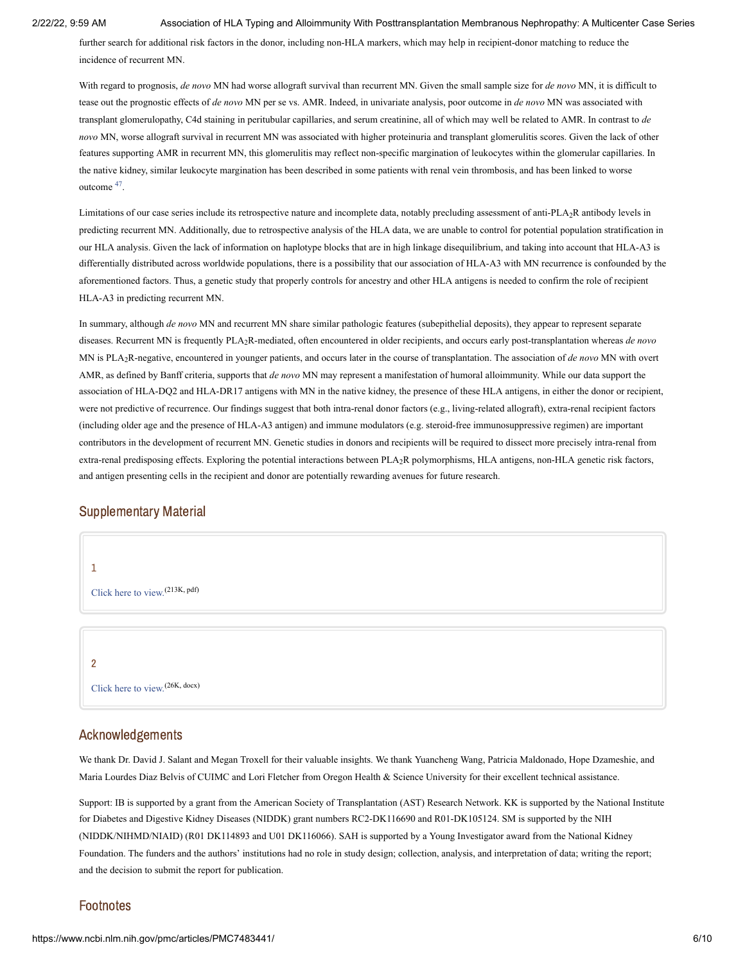further search for additional risk factors in the donor, including non-HLA markers, which may help in recipient-donor matching to reduce the incidence of recurrent MN.

With regard to prognosis, *de novo* MN had worse allograft survival than recurrent MN. Given the small sample size for *de novo* MN, it is difficult to tease out the prognostic effects of *de novo* MN per se vs. AMR. Indeed, in univariate analysis, poor outcome in *de novo* MN was associated with transplant glomerulopathy, C4d staining in peritubular capillaries, and serum creatinine, all of which may well be related to AMR. In contrast to *de novo* MN, worse allograft survival in recurrent MN was associated with higher proteinuria and transplant glomerulitis scores. Given the lack of other features supporting AMR in recurrent MN, this glomerulitis may reflect non-specific margination of leukocytes within the glomerular capillaries. In the native kidney, similar leukocyte margination has been described in some patients with renal vein thrombosis, and has been linked to worse outcome <sup>[47](#page-11-4)</sup>.

Limitations of our case series include its retrospective nature and incomplete data, notably precluding assessment of anti-PLA<sub>2</sub>R antibody levels in predicting recurrent MN. Additionally, due to retrospective analysis of the HLA data, we are unable to control for potential population stratification in our HLA analysis. Given the lack of information on haplotype blocks that are in high linkage disequilibrium, and taking into account that HLA-A3 is differentially distributed across worldwide populations, there is a possibility that our association of HLA-A3 with MN recurrence is confounded by the aforementioned factors. Thus, a genetic study that properly controls for ancestry and other HLA antigens is needed to confirm the role of recipient HLA-A3 in predicting recurrent MN.

In summary, although *de novo* MN and recurrent MN share similar pathologic features (subepithelial deposits), they appear to represent separate diseases. Recurrent MN is frequently PLA<sub>2</sub>R-mediated, often encountered in older recipients, and occurs early post-transplantation whereas *de novo* MN is PLA<sub>2</sub>R-negative, encountered in younger patients, and occurs later in the course of transplantation. The association of *de novo* MN with overt AMR, as defined by Banff criteria, supports that *de novo* MN may represent a manifestation of humoral alloimmunity. While our data support the association of HLA-DQ2 and HLA-DR17 antigens with MN in the native kidney, the presence of these HLA antigens, in either the donor or recipient, were not predictive of recurrence. Our findings suggest that both intra-renal donor factors (e.g., living-related allograft), extra-renal recipient factors (including older age and the presence of HLA-A3 antigen) and immune modulators (e.g. steroid-free immunosuppressive regimen) are important contributors in the development of recurrent MN. Genetic studies in donors and recipients will be required to dissect more precisely intra-renal from extra-renal predisposing effects. Exploring the potential interactions between PLA<sub>2</sub>R polymorphisms, HLA antigens, non-HLA genetic risk factors, and antigen presenting cells in the recipient and donor are potentially rewarding avenues for future research.

### Supplementary Material

<span id="page-7-1"></span><span id="page-7-0"></span>

### Acknowledgements

We thank Dr. David J. Salant and Megan Troxell for their valuable insights. We thank Yuancheng Wang, Patricia Maldonado, Hope Dzameshie, and Maria Lourdes Diaz Belvis of CUIMC and Lori Fletcher from Oregon Health & Science University for their excellent technical assistance.

Support: IB is supported by a grant from the American Society of Transplantation (AST) Research Network. KK is supported by the National Institute for Diabetes and Digestive Kidney Diseases (NIDDK) grant numbers RC2-DK116690 and R01-DK105124. SM is supported by the NIH (NIDDK/NIHMD/NIAID) (R01 DK114893 and U01 DK116066). SAH is supported by a Young Investigator award from the National Kidney Foundation. The funders and the authors' institutions had no role in study design; collection, analysis, and interpretation of data; writing the report; and the decision to submit the report for publication.

# Footnotes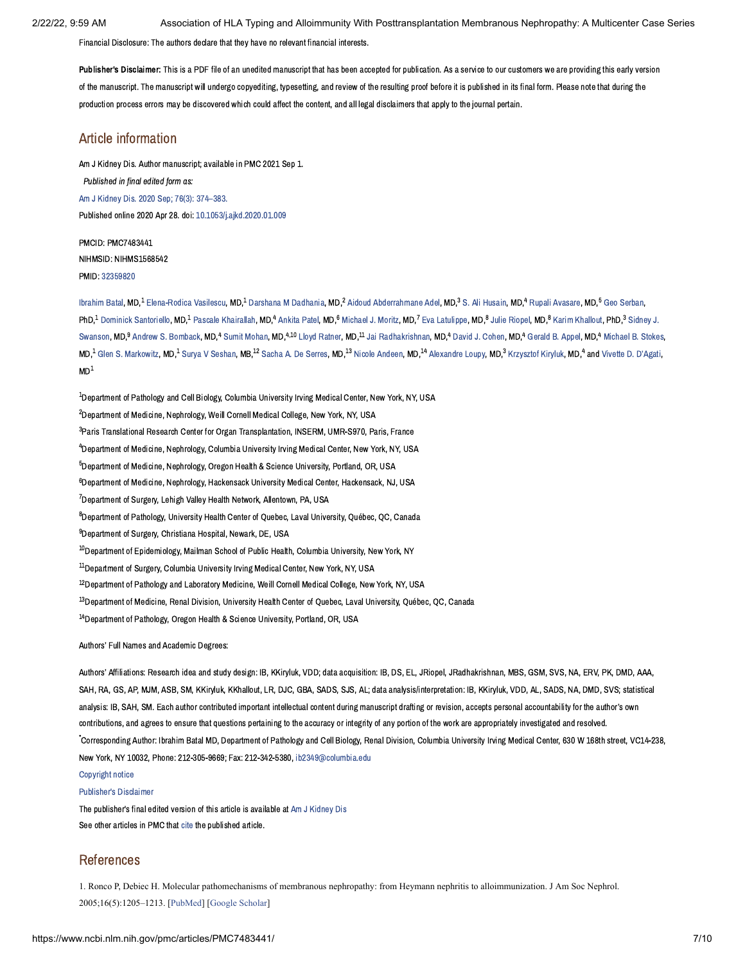Financial Disclosure: The authors declare that they have no relevant financial interests.

<span id="page-8-1"></span>Publisher's Disclaimer: This is a PDF file of an unedited manuscript that has been accepted for publication. As a service to our customers we are providing this early version of the manuscript. The manuscript will undergo copyediting, typesetting, and review of the resulting proof before it is published in its final form. Please note that during the production process errors may be discovered which could affect the content, and all legal disclaimers that apply to the journal pertain.

# Article information

Am J Kidney Dis. Author manuscript; available in PMC 2021 Sep 1. Published in final edited form as: Am J Kidney Dis. 2020 Sep; 76(3): [374–383.](https://www.ncbi.nlm.nih.gov/entrez/eutils/elink.fcgi?dbfrom=pubmed&retmode=ref&cmd=prlinks&id=32359820) Published online 2020 Apr 28. doi: [10.1053/j.ajkd.2020.01.009](https://dx.doi.org/10.1053%2Fj.ajkd.2020.01.009)

PMCID: PMC7483441 NIHMSID: NIHMS1568542 PMID: [32359820](https://www.ncbi.nlm.nih.gov/pubmed/32359820)

[Ibrahim](https://www.ncbi.nlm.nih.gov/pubmed/?term=Batal%20I%5BAuthor%5D&cauthor=true&cauthor_uid=32359820) Batal, MD, $^1$ [Elena-Rodica](https://www.ncbi.nlm.nih.gov/pubmed/?term=Vasilescu%20ER%5BAuthor%5D&cauthor=true&cauthor_uid=32359820) Vasilescu, MD, $^1$ Darshana M [Dadhania,](https://www.ncbi.nlm.nih.gov/pubmed/?term=Dadhania%20DM%5BAuthor%5D&cauthor=true&cauthor_uid=32359820) MD, $^2$ Aidoud [Abderrahmane](https://www.ncbi.nlm.nih.gov/pubmed/?term=Adel%20AA%5BAuthor%5D&cauthor=true&cauthor_uid=32359820) Adel, MD, $^3$ S. Ali [Husain,](https://www.ncbi.nlm.nih.gov/pubmed/?term=Husain%20SA%5BAuthor%5D&cauthor=true&cauthor_uid=32359820) MD, $^4$  Rupali [Avasare,](https://www.ncbi.nlm.nih.gov/pubmed/?term=Avasare%20R%5BAuthor%5D&cauthor=true&cauthor_uid=32359820) MD, $^5$  Geo [Serban](https://www.ncbi.nlm.nih.gov/pubmed/?term=Serban%20G%5BAuthor%5D&cauthor=true&cauthor_uid=32359820), PhD,<sup>1</sup> Dominick [Santoriello](https://www.ncbi.nlm.nih.gov/pubmed/?term=Santoriello%20D%5BAuthor%5D&cauthor=true&cauthor_uid=32359820), MD,<sup>1</sup> Pascale [Khairallah](https://www.ncbi.nlm.nih.gov/pubmed/?term=Khairallah%20P%5BAuthor%5D&cauthor=true&cauthor_uid=32359820), MD,<sup>4</sup> [Ankita](https://www.ncbi.nlm.nih.gov/pubmed/?term=Patel%20A%5BAuthor%5D&cauthor=true&cauthor_uid=32359820) Patel, MD,<sup>6</sup> [Michael](https://www.ncbi.nlm.nih.gov/pubmed/?term=Moritz%20MJ%5BAuthor%5D&cauthor=true&cauthor_uid=32359820) J. Moritz, MD,<sup>7</sup> Eva [Latulippe](https://www.ncbi.nlm.nih.gov/pubmed/?term=Latulippe%20E%5BAuthor%5D&cauthor=true&cauthor_uid=32359820), MD,<sup>8</sup> Julie [Riopel](https://www.ncbi.nlm.nih.gov/pubmed/?term=Riopel%20J%5BAuthor%5D&cauthor=true&cauthor_uid=32359820), MD,<sup>8</sup> Karim [Khallout](https://www.ncbi.nlm.nih.gov/pubmed/?term=Khallout%20K%5BAuthor%5D&cauthor=true&cauthor_uid=32359820), PhD,<sup>3</sup> Sidney J. Swanson, MD,<sup>9</sup> Andrew S. [Bomback,](https://www.ncbi.nlm.nih.gov/pubmed/?term=Bomback%20AS%5BAuthor%5D&cauthor=true&cauthor_uid=32359820) MD,<sup>4</sup> Sumit [Mohan](https://www.ncbi.nlm.nih.gov/pubmed/?term=Mohan%20S%5BAuthor%5D&cauthor=true&cauthor_uid=32359820), MD,<sup>4,10</sup> Lloyd [Ratner,](https://www.ncbi.nlm.nih.gov/pubmed/?term=Ratner%20L%5BAuthor%5D&cauthor=true&cauthor_uid=32359820) MD,<sup>11</sup> Jai [Radhakrishnan,](https://www.ncbi.nlm.nih.gov/pubmed/?term=Swanson%20SJ%5BAuthor%5D&cauthor=true&cauthor_uid=32359820) MD,<sup>4</sup> David J. [Cohen](https://www.ncbi.nlm.nih.gov/pubmed/?term=Cohen%20DJ%5BAuthor%5D&cauthor=true&cauthor_uid=32359820), MD,<sup>4</sup> [Gerald](https://www.ncbi.nlm.nih.gov/pubmed/?term=Appel%20GB%5BAuthor%5D&cauthor=true&cauthor_uid=32359820) B. Appel, MD,<sup>4</sup> [Michael](https://www.ncbi.nlm.nih.gov/pubmed/?term=Stokes%20MB%5BAuthor%5D&cauthor=true&cauthor_uid=32359820) B. Stokes,  $\textsf{MD.1}$  Glen S. [Markowitz,](https://www.ncbi.nlm.nih.gov/pubmed/?term=Markowitz%20GS%5BAuthor%5D&cauthor=true&cauthor_uid=32359820) MD.<sup>1</sup> Surva V [Seshan](https://www.ncbi.nlm.nih.gov/pubmed/?term=Seshan%20SV%5BAuthor%5D&cauthor=true&cauthor_uid=32359820), MB.<sup>12</sup> Sacha A. De [Serres,](https://www.ncbi.nlm.nih.gov/pubmed/?term=De%20Serres%20SA%5BAuthor%5D&cauthor=true&cauthor_uid=32359820) MD.<sup>13</sup> Nicole [Andeen](https://www.ncbi.nlm.nih.gov/pubmed/?term=Andeen%20N%5BAuthor%5D&cauthor=true&cauthor_uid=32359820), MD.<sup>14</sup> [Alexandre](https://www.ncbi.nlm.nih.gov/pubmed/?term=Loupy%20A%5BAuthor%5D&cauthor=true&cauthor_uid=32359820) Loupy, MD.<sup>3</sup> [Krzysztof](https://www.ncbi.nlm.nih.gov/pubmed/?term=Kiryluk%20K%5BAuthor%5D&cauthor=true&cauthor_uid=32359820) Kiryluk, MD.<sup>4</sup> and Vivette D. [D'Agati,](https://www.ncbi.nlm.nih.gov/pubmed/?term=D%26%23x02019%3BAgati%20VD%5BAuthor%5D&cauthor=true&cauthor_uid=32359820)  $MD<sup>1</sup>$ 

 $^{\rm 1}$ Department of Pathology and Cell Biology, Columbia University Irving Medical Center, New York, NY, USA  $^2$ Department of Medicine, Nephrology, Weill Cornell Medical College, New York, NY, USA <sup>3</sup> Paris Translational Research Center for Organ Transplantation, INSERM, UMR-S970, Paris, France <sup>4</sup>Department of Medicine, Nephrology, Columbia University Irving Medical Center, New York, NY, USA  $^{\rm 5}$ Department of Medicine, Nephrology, Oregon Health & Science University, Portland, OR, USA  $^6$ Department of Medicine, Nephrology, Hackensack University Medical Center, Hackensack, NJ, USA  $7$ Department of Surgery, Lehigh Valley Health Network, Allentown, PA, USA <sup>8</sup>Department of Pathology, University Health Center of Ouebec, Laval University, Ouébec, OC, Canada <sup>9</sup>Department of Surgery, Christiana Hospital, Newark, DE, USA  $^{10}$ Department of Epidemiology, Mailman School of Public Health, Columbia University, New York, NY  $\rm ^{11}$ Department of Surgery, Columbia University Irving Medical Center, New York, NY, USA  $^{12}$ Department of Pathology and Laboratory Medicine, Weill Cornell Medical College, New York, NY, USA  $^{13}$ Department of Medicine, Renal Division, University Health Center of Ouebec, Laval University, Ouébec, OC, Canada  $^{14}$ Department of Pathology, Oregon Health & Science University, Portland, OR, USA

Authors' Full Names and Academic Degrees:

Authors' Affiliations: Research idea and study design: IB, KKiryluk, VDD; data acquisition: IB, DS, EL, JRiopel, JRadhakrishnan, MBS, GSM, SVS, NA, ERV, PK, DMD, AAA, SAH, RA, GS, AP, MJM, ASB, SM, KKiryluk, KKhallout, LR, DJC, GBA, SADS, SJS, AL; data analysis/interpretation: IB, KKiryluk, VDD, AL, SADS, NA, DMD, SVS; statistical analysis: IB, SAH, SM. Each author contributed important intellectual content during manuscript drafting or revision, accepts personal accountability for the author's own contributions, and agrees to ensure that questions pertaining to the accuracy or integrity of any portion of the work are appropriately investigated and resolved. .<br>Corresponding Author: Ibrahim Batal MD, Department of Pathology and Cell Biology, Renal Division, Columbia University Irving Medical Center, 630 W 168th street, VC14-238. New York, NY 10032, Phone: 212-305-9669; Fax: 212-342-5380, [ib2349@columbia.edu](mailto:dev@null)

[Copyright](https://www.ncbi.nlm.nih.gov/pmc/about/copyright/) notice

#### [Publisher's](#page-8-1) Disclaimer

The publisher's final edited version of this article is available at Am J [Kidney](https://www.ncbi.nlm.nih.gov/entrez/eutils/elink.fcgi?dbfrom=pubmed&retmode=ref&cmd=prlinks&id=32359820) Dis See other articles in PMC that [cite](https://www.ncbi.nlm.nih.gov/pmc/articles/PMC7483441/citedby/) the published article.

### References

<span id="page-8-0"></span>1. Ronco P, Debiec H. Molecular pathomechanisms of membranous nephropathy: from Heymann nephritis to alloimmunization. J Am Soc Nephrol. 2005;16(5):1205–1213. [[PubMed\]](https://www.ncbi.nlm.nih.gov/pubmed/15800120) [[Google Scholar\]](https://scholar.google.com/scholar_lookup?journal=J+Am+Soc+Nephrol&title=Molecular+pathomechanisms+of+membranous+nephropathy:+from+Heymann+nephritis+to+alloimmunization&author=P+Ronco&author=H+Debiec&volume=16&issue=5&publication_year=2005&pages=1205-1213&pmid=15800120&)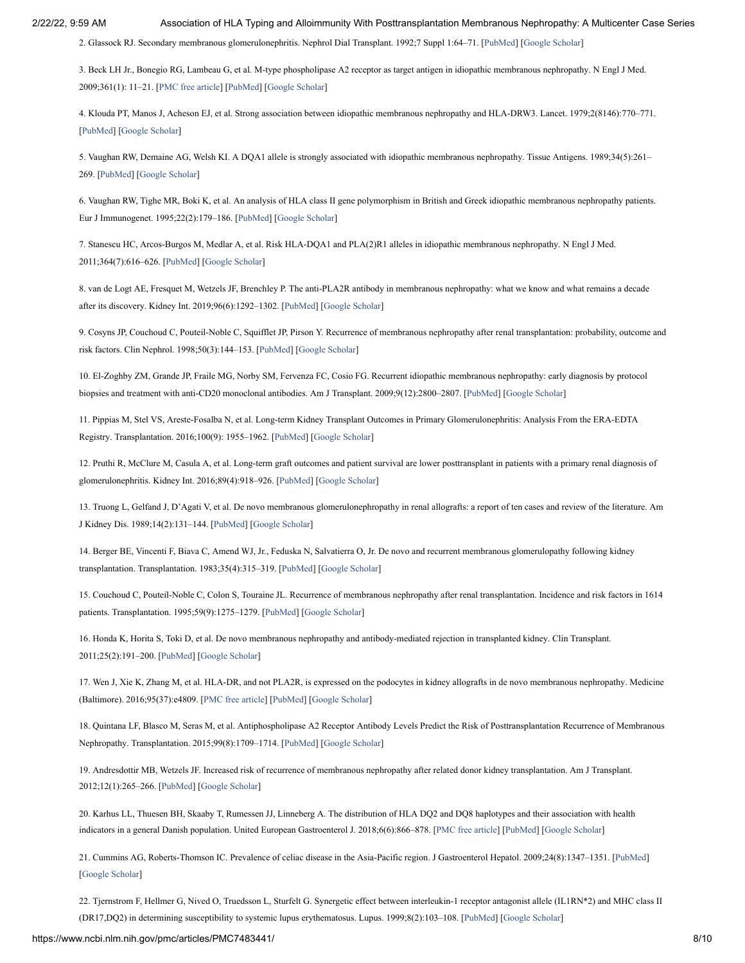<span id="page-9-0"></span>2. Glassock RJ. Secondary membranous glomerulonephritis. Nephrol Dial Transplant. 1992;7 Suppl 1:64–71. [\[PubMed\]](https://www.ncbi.nlm.nih.gov/pubmed/1337185) [\[Google Scholar\]](https://scholar.google.com/scholar_lookup?journal=Nephrol+Dial+Transplant&title=Secondary+membranous+glomerulonephritis&author=RJ+Glassock&volume=7&issue=Suppl+1&publication_year=1992&pages=64-71&pmid=1337185&)

<span id="page-9-1"></span>3. Beck LH Jr., Bonegio RG, Lambeau G, et al. M-type phospholipase A2 receptor as target antigen in idiopathic membranous nephropathy. N Engl J Med. 2009;361(1): 11–21. [[PMC free article](https://www.ncbi.nlm.nih.gov/pmc/articles/PMC2762083/?report=reader)] [\[PubMed](https://www.ncbi.nlm.nih.gov/pubmed/19571279)] [[Google Scholar\]](https://scholar.google.com/scholar_lookup?journal=N+Engl+J+Med&title=M-type+phospholipase+A2+receptor+as+target+antigen+in+idiopathic+membranous+nephropathy&author=LH+Beck&author=RG+Bonegio&author=G+Lambeau&volume=361&issue=1&publication_year=2009&pages=11-21&pmid=19571279&)

<span id="page-9-2"></span>4. Klouda PT, Manos J, Acheson EJ, et al. Strong association between idiopathic membranous nephropathy and HLA-DRW3. Lancet. 1979;2(8146):770–771. [\[PubMed\]](https://www.ncbi.nlm.nih.gov/pubmed/90863) [[Google Scholar\]](https://scholar.google.com/scholar_lookup?journal=Lancet&title=Strong+association+between+idiopathic+membranous+nephropathy+and+HLA-DRW3&author=PT+Klouda&author=J+Manos&author=EJ+Acheson&volume=2&issue=8146&publication_year=1979&pages=770-771&pmid=90863&)

5. Vaughan RW, Demaine AG, Welsh KI. A DQA1 allele is strongly associated with idiopathic membranous nephropathy. Tissue Antigens. 1989;34(5):261– 269. [\[PubMed\]](https://www.ncbi.nlm.nih.gov/pubmed/2576474) [\[Google Scholar\]](https://scholar.google.com/scholar_lookup?journal=Tissue+Antigens&title=A+DQA1+allele+is+strongly+associated+with+idiopathic+membranous+nephropathy&author=RW+Vaughan&author=AG+Demaine&author=KI+Welsh&volume=34&issue=5&publication_year=1989&pages=261-269&pmid=2576474&)

6. Vaughan RW, Tighe MR, Boki K, et al. An analysis of HLA class II gene polymorphism in British and Greek idiopathic membranous nephropathy patients. Eur J Immunogenet. 1995;22(2):179–186. [[PubMed](https://www.ncbi.nlm.nih.gov/pubmed/7605775)] [\[Google Scholar\]](https://scholar.google.com/scholar_lookup?journal=Eur+J+Immunogenet&title=An+analysis+of+HLA+class+II+gene+polymorphism+in+British+and+Greek+idiopathic+membranous+nephropathy+patients&author=RW+Vaughan&author=MR+Tighe&author=K+Boki&volume=22&issue=2&publication_year=1995&pages=179-186&pmid=7605775&)

<span id="page-9-3"></span>7. Stanescu HC, Arcos-Burgos M, Medlar A, et al. Risk HLA-DQA1 and PLA(2)R1 alleles in idiopathic membranous nephropathy. N Engl J Med. 2011;364(7):616–626. [\[PubMed\]](https://www.ncbi.nlm.nih.gov/pubmed/21323541) [\[Google Scholar\]](https://scholar.google.com/scholar_lookup?journal=N+Engl+J+Med&title=Risk+HLA-DQA1+and+PLA(2)R1+alleles+in+idiopathic+membranous+nephropathy&author=HC+Stanescu&author=M+Arcos-Burgos&author=A+Medlar&volume=364&issue=7&publication_year=2011&pages=616-626&pmid=21323541&)

<span id="page-9-4"></span>8. van de Logt AE, Fresquet M, Wetzels JF, Brenchley P. The anti-PLA2R antibody in membranous nephropathy: what we know and what remains a decade after its discovery. Kidney Int. 2019;96(6):1292–1302. [[PubMed](https://www.ncbi.nlm.nih.gov/pubmed/31611068)] [\[Google Scholar](https://scholar.google.com/scholar_lookup?journal=Kidney+Int&title=The+anti-PLA2R+antibody+in+membranous+nephropathy:+what+we+know+and+what+remains+a+decade+after+its+discovery&author=AE+van+de+Logt&author=M+Fresquet&author=JF+Wetzels&author=P+Brenchley&volume=96&issue=6&publication_year=2019&pages=1292-1302&pmid=31611068&)]

<span id="page-9-5"></span>9. Cosyns JP, Couchoud C, Pouteil-Noble C, Squifflet JP, Pirson Y. Recurrence of membranous nephropathy after renal transplantation: probability, outcome and risk factors. Clin Nephrol. 1998;50(3):144–153. [[PubMed\]](https://www.ncbi.nlm.nih.gov/pubmed/9776417) [[Google Scholar](https://scholar.google.com/scholar_lookup?journal=Clin+Nephrol&title=Recurrence+of+membranous+nephropathy+after+renal+transplantation:+probability,+outcome+and+risk+factors&author=JP+Cosyns&author=C+Couchoud&author=C+Pouteil-Noble&author=JP+Squifflet&author=Y+Pirson&volume=50&issue=3&publication_year=1998&pages=144-153&pmid=9776417&)]

10. El-Zoghby ZM, Grande JP, Fraile MG, Norby SM, Fervenza FC, Cosio FG. Recurrent idiopathic membranous nephropathy: early diagnosis by protocol biopsies and treatment with anti-CD20 monoclonal antibodies. Am J Transplant. 2009;9(12):2800–2807. [[PubMed](https://www.ncbi.nlm.nih.gov/pubmed/19845581)] [\[Google Scholar\]](https://scholar.google.com/scholar_lookup?journal=Am+J+Transplant&title=Recurrent+idiopathic+membranous+nephropathy:+early+diagnosis+by+protocol+biopsies+and+treatment+with+anti-CD20+monoclonal+antibodies&author=ZM+El-Zoghby&author=JP+Grande&author=MG+Fraile&author=SM+Norby&author=FC+Fervenza&volume=9&issue=12&publication_year=2009&pages=2800-2807&pmid=19845581&)

11. Pippias M, Stel VS, Areste-Fosalba N, et al. Long-term Kidney Transplant Outcomes in Primary Glomerulonephritis: Analysis From the ERA-EDTA Registry. Transplantation. 2016;100(9): 1955–1962. [[PubMed](https://www.ncbi.nlm.nih.gov/pubmed/26588008)] [\[Google Scholar\]](https://scholar.google.com/scholar_lookup?journal=Transplantation&title=Long-term+Kidney+Transplant+Outcomes+in+Primary+Glomerulonephritis:+Analysis+From+the+ERA-EDTA+Registry&author=M+Pippias&author=VS+Stel&author=N+Areste-Fosalba&volume=100&issue=9&publication_year=2016&pages=1955-1962&pmid=26588008&)

12. Pruthi R, McClure M, Casula A, et al. Long-term graft outcomes and patient survival are lower posttransplant in patients with a primary renal diagnosis of glomerulonephritis. Kidney Int. 2016;89(4):918–926. [[PubMed\]](https://www.ncbi.nlm.nih.gov/pubmed/26924061) [\[Google Scholar\]](https://scholar.google.com/scholar_lookup?journal=Kidney+Int&title=Long-term+graft+outcomes+and+patient+survival+are+lower+posttransplant+in+patients+with+a+primary+renal+diagnosis+of+glomerulonephritis&author=R+Pruthi&author=M+McClure&author=A+Casula&volume=89&issue=4&publication_year=2016&pages=918-926&pmid=26924061&)

<span id="page-9-7"></span>13. Truong L, Gelfand J, D'Agati V, et al. De novo membranous glomerulonephropathy in renal allografts: a report of ten cases and review of the literature. Am J Kidney Dis. 1989;14(2):131–144. [[PubMed\]](https://www.ncbi.nlm.nih.gov/pubmed/2667346) [\[Google Scholar\]](https://scholar.google.com/scholar_lookup?journal=Am+J+Kidney+Dis&title=De+novo+membranous+glomerulonephropathy+in+renal+allografts:+a+report+of+ten+cases+and+review+of+the+literature&author=L+Truong&author=J+Gelfand&author=V+D%E2%80%99Agati&volume=14&issue=2&publication_year=1989&pages=131-144&pmid=2667346&)

<span id="page-9-15"></span>14. Berger BE, Vincenti F, Biava C, Amend WJ, Jr., Feduska N, Salvatierra O, Jr. De novo and recurrent membranous glomerulopathy following kidney transplantation. Transplantation. 1983;35(4):315–319. [[PubMed](https://www.ncbi.nlm.nih.gov/pubmed/6340284)] [\[Google Scholar\]](https://scholar.google.com/scholar_lookup?journal=Transplantation&title=Jr.,+Feduska+N,+Salvatierra+O,+Jr.+De+novo+and+recurrent+membranous+glomerulopathy+following+kidney+transplantation&author=BE+Berger&author=F+Vincenti&author=C+Biava&author=WJ+Amend&volume=35&issue=4&publication_year=1983&pages=315-319&pmid=6340284&)

<span id="page-9-6"></span>15. Couchoud C, Pouteil-Noble C, Colon S, Touraine JL. Recurrence of membranous nephropathy after renal transplantation. Incidence and risk factors in 1614 patients. Transplantation. 1995;59(9):1275–1279. [\[PubMed\]](https://www.ncbi.nlm.nih.gov/pubmed/7762061) [\[Google Scholar\]](https://scholar.google.com/scholar_lookup?journal=Transplantation&title=Recurrence+of+membranous+nephropathy+after+renal+transplantation.+Incidence+and+risk+factors+in+1614+patients&author=C+Couchoud&author=C+Pouteil-Noble&author=S+Colon&author=JL+Touraine&volume=59&issue=9&publication_year=1995&pages=1275-1279&pmid=7762061&)

<span id="page-9-8"></span>16. Honda K, Horita S, Toki D, et al. De novo membranous nephropathy and antibody-mediated rejection in transplanted kidney. Clin Transplant. 2011;25(2):191–200. [\[PubMed](https://www.ncbi.nlm.nih.gov/pubmed/20236137)] [[Google Scholar\]](https://scholar.google.com/scholar_lookup?journal=Clin+Transplant&title=De+novo+membranous+nephropathy+and+antibody-mediated+rejection+in+transplanted+kidney&author=K+Honda&author=S+Horita&author=D+Toki&volume=25&issue=2&publication_year=2011&pages=191-200&pmid=20236137&)

<span id="page-9-9"></span>17. Wen J, Xie K, Zhang M, et al. HLA-DR, and not PLA2R, is expressed on the podocytes in kidney allografts in de novo membranous nephropathy. Medicine (Baltimore). 2016;95(37):e4809. [[PMC free article](https://www.ncbi.nlm.nih.gov/pmc/articles/PMC5402576/?report=reader)] [\[PubMed\]](https://www.ncbi.nlm.nih.gov/pubmed/27631233) [\[Google Scholar\]](https://scholar.google.com/scholar_lookup?journal=Medicine+(Baltimore)&title=HLA-DR,+and+not+PLA2R,+is+expressed+on+the+podocytes+in+kidney+allografts+in+de+novo+membranous+nephropathy&author=J+Wen&author=K+Xie&author=M+Zhang&volume=95&issue=37&publication_year=2016&pages=e4809&pmid=27631233&)

<span id="page-9-10"></span>18. Quintana LF, Blasco M, Seras M, et al. Antiphospholipase A2 Receptor Antibody Levels Predict the Risk of Posttransplantation Recurrence of Membranous Nephropathy. Transplantation. 2015;99(8):1709–1714. [[PubMed](https://www.ncbi.nlm.nih.gov/pubmed/25675198)] [\[Google Scholar](https://scholar.google.com/scholar_lookup?journal=Transplantation&title=Antiphospholipase+A2+Receptor+Antibody+Levels+Predict+the+Risk+of+Posttransplantation+Recurrence+of+Membranous+Nephropathy&author=LF+Quintana&author=M+Blasco&author=M+Seras&volume=99&issue=8&publication_year=2015&pages=1709-1714&pmid=25675198&)]

<span id="page-9-11"></span>19. Andresdottir MB, Wetzels JF. Increased risk of recurrence of membranous nephropathy after related donor kidney transplantation. Am J Transplant. 2012;12(1):265–266. [[PubMed](https://www.ncbi.nlm.nih.gov/pubmed/22050629)] [[Google Scholar](https://scholar.google.com/scholar_lookup?journal=Am+J+Transplant&title=Increased+risk+of+recurrence+of+membranous+nephropathy+after+related+donor+kidney+transplantation&author=MB+Andresdottir&author=JF+Wetzels&volume=12&issue=1&publication_year=2012&pages=265-266&pmid=22050629&)]

<span id="page-9-12"></span>20. Karhus LL, Thuesen BH, Skaaby T, Rumessen JJ, Linneberg A. The distribution of HLA DQ2 and DQ8 haplotypes and their association with health indicators in a general Danish population. United European Gastroenterol J. 2018;6(6):866–878. [[PMC free article](https://www.ncbi.nlm.nih.gov/pmc/articles/PMC6047278/?report=reader)] [\[PubMed\]](https://www.ncbi.nlm.nih.gov/pubmed/30023064) [[Google Scholar\]](https://scholar.google.com/scholar_lookup?journal=United+European+Gastroenterol+J&title=The+distribution+of+HLA+DQ2+and+DQ8+haplotypes+and+their+association+with+health+indicators+in+a+general+Danish+population&author=LL+Karhus&author=BH+Thuesen&author=T+Skaaby&author=JJ+Rumessen&author=A+Linneberg&volume=6&issue=6&publication_year=2018&pages=866-878&)

<span id="page-9-13"></span>21. Cummins AG, Roberts-Thomson IC. Prevalence of celiac disease in the Asia-Pacific region. J Gastroenterol Hepatol. 2009;24(8):1347–1351. [[PubMed\]](https://www.ncbi.nlm.nih.gov/pubmed/19702902) [\[Google Scholar](https://scholar.google.com/scholar_lookup?journal=J+Gastroenterol+Hepatol&title=Prevalence+of+celiac+disease+in+the+Asia-Pacific+region&author=AG+Cummins&author=IC+Roberts-Thomson&volume=24&issue=8&publication_year=2009&pages=1347-1351&pmid=19702902&)]

<span id="page-9-14"></span>22. Tjernstrom F, Hellmer G, Nived O, Truedsson L, Sturfelt G. Synergetic effect between interleukin-1 receptor antagonist allele (IL1RN\*2) and MHC class II (DR17,DQ2) in determining susceptibility to systemic lupus erythematosus. Lupus. 1999;8(2):103–108. [[PubMed](https://www.ncbi.nlm.nih.gov/pubmed/10192503)] [[Google Scholar\]](https://scholar.google.com/scholar_lookup?journal=Lupus&title=Synergetic+effect+between+interleukin-1+receptor+antagonist+allele+(IL1RN*2)+and+MHC+class+II+(DR17,DQ2)+in+determining+susceptibility+to+systemic+lupus+erythematosus&author=F+Tjernstrom&author=G+Hellmer&author=O+Nived&author=L+Truedsson&author=G+Sturfelt&volume=8&issue=2&publication_year=1999&pages=103-108&pmid=10192503&)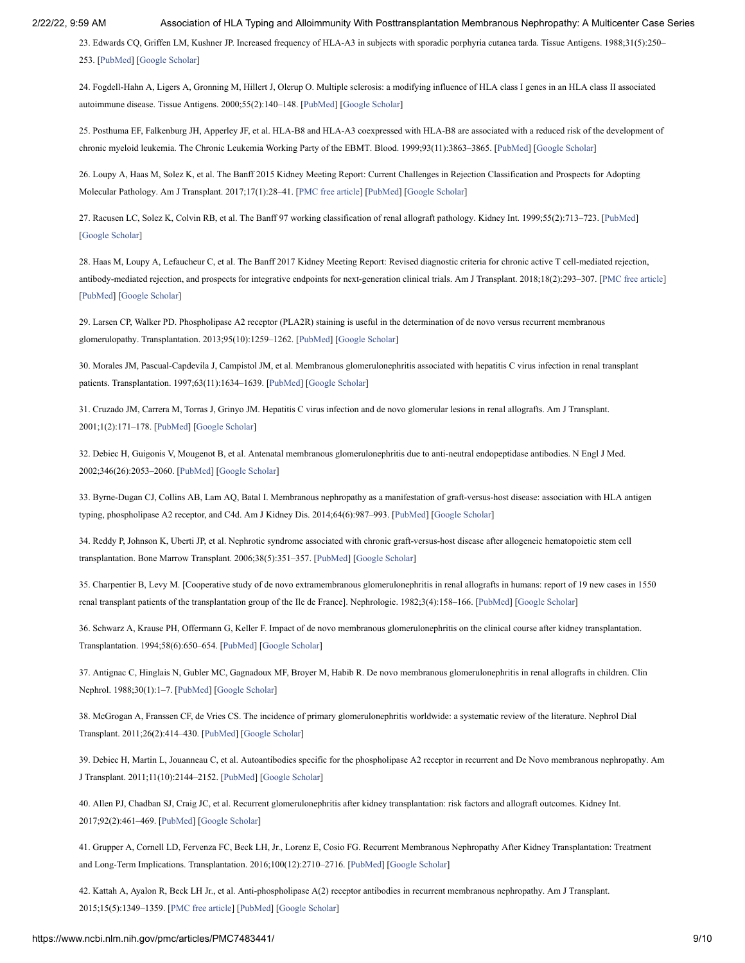<span id="page-10-0"></span>23. Edwards CQ, Griffen LM, Kushner JP. Increased frequency of HLA-A3 in subjects with sporadic porphyria cutanea tarda. Tissue Antigens. 1988;31(5):250– 253. [\[PubMed\]](https://www.ncbi.nlm.nih.gov/pubmed/3261053) [\[Google Scholar\]](https://scholar.google.com/scholar_lookup?journal=Tissue+Antigens&title=Increased+frequency+of+HLA-A3+in+subjects+with+sporadic+porphyria+cutanea+tarda&author=CQ+Edwards&author=LM+Griffen&author=JP+Kushner&volume=31&issue=5&publication_year=1988&pages=250-253&pmid=3261053&)

24. Fogdell-Hahn A, Ligers A, Gronning M, Hillert J, Olerup O. Multiple sclerosis: a modifying influence of HLA class I genes in an HLA class II associated autoimmune disease. Tissue Antigens. 2000;55(2):140–148. [[PubMed](https://www.ncbi.nlm.nih.gov/pubmed/10746785)] [[Google Scholar\]](https://scholar.google.com/scholar_lookup?journal=Tissue+Antigens&title=Multiple+sclerosis:+a+modifying+influence+of+HLA+class+I+genes+in+an+HLA+class+II+associated+autoimmune+disease&author=A+Fogdell-Hahn&author=A+Ligers&author=M+Gronning&author=J+Hillert&author=O+Olerup&volume=55&issue=2&publication_year=2000&pages=140-148&pmid=10746785&)

<span id="page-10-1"></span>25. Posthuma EF, Falkenburg JH, Apperley JF, et al. HLA-B8 and HLA-A3 coexpressed with HLA-B8 are associated with a reduced risk of the development of chronic myeloid leukemia. The Chronic Leukemia Working Party of the EBMT. Blood. 1999;93(11):3863–3865. [\[PubMed](https://www.ncbi.nlm.nih.gov/pubmed/10339494)] [\[Google Scholar\]](https://scholar.google.com/scholar_lookup?journal=Blood&title=HLA-B8+and+HLA-A3+coexpressed+with+HLA-B8+are+associated+with+a+reduced+risk+of+the+development+of+chronic+myeloid+leukemia.+The+Chronic+Leukemia+Working+Party+of+the+EBMT&author=EF+Posthuma&author=JH+Falkenburg&author=JF+Apperley&volume=93&issue=11&publication_year=1999&pages=3863-3865&pmid=10339494&)

<span id="page-10-2"></span>26. Loupy A, Haas M, Solez K, et al. The Banff 2015 Kidney Meeting Report: Current Challenges in Rejection Classification and Prospects for Adopting Molecular Pathology. Am J Transplant. 2017;17(1):28–41. [[PMC free article\]](https://www.ncbi.nlm.nih.gov/pmc/articles/PMC5363228/?report=reader) [[PubMed\]](https://www.ncbi.nlm.nih.gov/pubmed/27862883) [[Google Scholar\]](https://scholar.google.com/scholar_lookup?journal=Am+J+Transplant&title=The+Banff+2015+Kidney+Meeting+Report:+Current+Challenges+in+Rejection+Classification+and+Prospects+for+Adopting+Molecular+Pathology&author=A+Loupy&author=M+Haas&author=K+Solez&volume=17&issue=1&publication_year=2017&pages=28-41&pmid=27862883&)

27. Racusen LC, Solez K, Colvin RB, et al. The Banff 97 working classification of renal allograft pathology. Kidney Int. 1999;55(2):713–723. [\[PubMed](https://www.ncbi.nlm.nih.gov/pubmed/9987096)] [\[Google Scholar](https://scholar.google.com/scholar_lookup?journal=Kidney+Int&title=The+Banff+97+working+classification+of+renal+allograft+pathology&author=LC+Racusen&author=K+Solez&author=RB+Colvin&volume=55&issue=2&publication_year=1999&pages=713-723&pmid=9987096&)]

<span id="page-10-3"></span>28. Haas M, Loupy A, Lefaucheur C, et al. The Banff 2017 Kidney Meeting Report: Revised diagnostic criteria for chronic active T cell-mediated rejection, antibody-mediated rejection, and prospects for integrative endpoints for next-generation clinical trials. Am J Transplant. 2018;18(2):293–307. [\[PMC free article](https://www.ncbi.nlm.nih.gov/pmc/articles/PMC5817248/?report=reader)] [\[PubMed\]](https://www.ncbi.nlm.nih.gov/pubmed/29243394) [[Google Scholar\]](https://scholar.google.com/scholar_lookup?journal=Am+J+Transplant&title=The+Banff+2017+Kidney+Meeting+Report:+Revised+diagnostic+criteria+for+chronic+active+T+cell-mediated+rejection,+antibody-mediated+rejection,+and+prospects+for+integrative+endpoints+for+next-generation+clinical+trials&author=M+Haas&author=A+Loupy&author=C+Lefaucheur&volume=18&issue=2&publication_year=2018&pages=293-307&pmid=29243394&)

<span id="page-10-4"></span>29. Larsen CP, Walker PD. Phospholipase A2 receptor (PLA2R) staining is useful in the determination of de novo versus recurrent membranous glomerulopathy. Transplantation. 2013;95(10):1259–1262. [[PubMed](https://www.ncbi.nlm.nih.gov/pubmed/23514961)] [\[Google Scholar](https://scholar.google.com/scholar_lookup?journal=Transplantation&title=Phospholipase+A2+receptor+(PLA2R)+staining+is+useful+in+the+determination+of+de+novo+versus+recurrent+membranous+glomerulopathy&author=CP+Larsen&author=PD+Walker&volume=95&issue=10&publication_year=2013&pages=1259-1262&pmid=23514961&)]

<span id="page-10-5"></span>30. Morales JM, Pascual-Capdevila J, Campistol JM, et al. Membranous glomerulonephritis associated with hepatitis C virus infection in renal transplant patients. Transplantation. 1997;63(11):1634-1639. [[PubMed\]](https://www.ncbi.nlm.nih.gov/pubmed/9197359) [[Google Scholar](https://scholar.google.com/scholar_lookup?journal=Transplantation&title=Membranous+glomerulonephritis+associated+with+hepatitis+C+virus+infection+in+renal+transplant+patients&author=JM+Morales&author=J+Pascual-Capdevila&author=JM+Campistol&volume=63&issue=11&publication_year=1997&pages=1634-1639&pmid=9197359&)]

<span id="page-10-6"></span>31. Cruzado JM, Carrera M, Torras J, Grinyo JM. Hepatitis C virus infection and de novo glomerular lesions in renal allografts. Am J Transplant. 2001;1(2):171–178. [[PubMed](https://www.ncbi.nlm.nih.gov/pubmed/12099366)] [[Google Scholar](https://scholar.google.com/scholar_lookup?journal=Am+J+Transplant&title=Hepatitis+C+virus+infection+and+de+novo+glomerular+lesions+in+renal+allografts&author=JM+Cruzado&author=M+Carrera&author=J+Torras&author=JM+Grinyo&volume=1&issue=2&publication_year=2001&pages=171-178&pmid=12099366&)]

<span id="page-10-7"></span>32. Debiec H, Guigonis V, Mougenot B, et al. Antenatal membranous glomerulonephritis due to anti-neutral endopeptidase antibodies. N Engl J Med. 2002;346(26):2053–2060. [[PubMed](https://www.ncbi.nlm.nih.gov/pubmed/12087141)] [\[Google Scholar](https://scholar.google.com/scholar_lookup?journal=N+Engl+J+Med&title=Antenatal+membranous+glomerulonephritis+due+to+anti-neutral+endopeptidase+antibodies&author=H+Debiec&author=V+Guigonis&author=B+Mougenot&volume=346&issue=26&publication_year=2002&pages=2053-2060&pmid=12087141&)]

<span id="page-10-8"></span>33. Byrne-Dugan CJ, Collins AB, Lam AQ, Batal I. Membranous nephropathy as a manifestation of graft-versus-host disease: association with HLA antigen typing, phospholipase A2 receptor, and C4d. Am J Kidney Dis. 2014;64(6):987–993. [\[PubMed](https://www.ncbi.nlm.nih.gov/pubmed/25304985)] [[Google Scholar\]](https://scholar.google.com/scholar_lookup?journal=Am+J+Kidney+Dis&title=Membranous+nephropathy+as+a+manifestation+of+graft-versus-host+disease:+association+with+HLA+antigen+typing,+phospholipase+A2+receptor,+and+C4d&author=CJ+Byrne-Dugan&author=AB+Collins&author=AQ+Lam&author=I+Batal&volume=64&issue=6&publication_year=2014&pages=987-993&pmid=25304985&)

<span id="page-10-9"></span>34. Reddy P, Johnson K, Uberti JP, et al. Nephrotic syndrome associated with chronic graft-versus-host disease after allogeneic hematopoietic stem cell transplantation. Bone Marrow Transplant. 2006;38(5):351–357. [[PubMed\]](https://www.ncbi.nlm.nih.gov/pubmed/16862167) [[Google Scholar\]](https://scholar.google.com/scholar_lookup?journal=Bone+Marrow+Transplant&title=Nephrotic+syndrome+associated+with+chronic+graft-versus-host+disease+after+allogeneic+hematopoietic+stem+cell+transplantation&author=P+Reddy&author=K+Johnson&author=JP+Uberti&volume=38&issue=5&publication_year=2006&pages=351-357&pmid=16862167&)

<span id="page-10-10"></span>35. Charpentier B, Levy M. [Cooperative study of de novo extramembranous glomerulonephritis in renal allografts in humans: report of 19 new cases in 1550 renal transplant patients of the transplantation group of the Ile de France]. Nephrologie. 1982;3(4):158–166. [[PubMed\]](https://www.ncbi.nlm.nih.gov/pubmed/6759963) [[Google Scholar](https://scholar.google.com/scholar_lookup?journal=Nephrologie&title=Cooperative+study+of+de+novo+extramembranous+glomerulonephritis+in+renal+allografts+in+humans:+report+of+19+new+cases+in+1550+renal+transplant+patients+of+the+transplantation+group+of+the+Ile+de+France&author=B+Charpentier&author=M+Levy&volume=3&issue=4&publication_year=1982&pages=158-166&pmid=6759963&)]

36. Schwarz A, Krause PH, Offermann G, Keller F. Impact of de novo membranous glomerulonephritis on the clinical course after kidney transplantation. Transplantation. 1994;58(6):650–654. [[PubMed\]](https://www.ncbi.nlm.nih.gov/pubmed/7940683) [[Google Scholar](https://scholar.google.com/scholar_lookup?journal=Transplantation&title=Impact+of+de+novo+membranous+glomerulonephritis+on+the+clinical+course+after+kidney+transplantation&author=A+Schwarz&author=PH+Krause&author=G+Offermann&author=F+Keller&volume=58&issue=6&publication_year=1994&pages=650-654&pmid=7940683&)]

<span id="page-10-11"></span>37. Antignac C, Hinglais N, Gubler MC, Gagnadoux MF, Broyer M, Habib R. De novo membranous glomerulonephritis in renal allografts in children. Clin Nephrol. 1988;30(1):1–7. [\[PubMed\]](https://www.ncbi.nlm.nih.gov/pubmed/3061691) [\[Google Scholar\]](https://scholar.google.com/scholar_lookup?journal=Clin+Nephrol&title=De+novo+membranous+glomerulonephritis+in+renal+allografts+in+children&author=C+Antignac&author=N+Hinglais&author=MC+Gubler&author=MF+Gagnadoux&author=M+Broyer&volume=30&issue=1&publication_year=1988&pages=1-7&pmid=3061691&)

<span id="page-10-12"></span>38. McGrogan A, Franssen CF, de Vries CS. The incidence of primary glomerulonephritis worldwide: a systematic review of the literature. Nephrol Dial Transplant. 2011;26(2):414–430. [\[PubMed](https://www.ncbi.nlm.nih.gov/pubmed/21068142)] [[Google Scholar](https://scholar.google.com/scholar_lookup?journal=Nephrol+Dial+Transplant&title=The+incidence+of+primary+glomerulonephritis+worldwide:+a+systematic+review+of+the+literature&author=A+McGrogan&author=CF+Franssen&author=CS+de+Vries&volume=26&issue=2&publication_year=2011&pages=414-430&pmid=21068142&)]

<span id="page-10-13"></span>39. Debiec H, Martin L, Jouanneau C, et al. Autoantibodies specific for the phospholipase A2 receptor in recurrent and De Novo membranous nephropathy. Am J Transplant. 2011;11(10):2144–2152. [[PubMed](https://www.ncbi.nlm.nih.gov/pubmed/21827616)] [\[Google Scholar](https://scholar.google.com/scholar_lookup?journal=Am+J+Transplant&title=Autoantibodies+specific+for+the+phospholipase+A2+receptor+in+recurrent+and+De+Novo+membranous+nephropathy&author=H+Debiec&author=L+Martin&author=C+Jouanneau&volume=11&issue=10&publication_year=2011&pages=2144-2152&pmid=21827616&)]

<span id="page-10-14"></span>40. Allen PJ, Chadban SJ, Craig JC, et al. Recurrent glomerulonephritis after kidney transplantation: risk factors and allograft outcomes. Kidney Int. 2017;92(2):461–469. [[PubMed](https://www.ncbi.nlm.nih.gov/pubmed/28601198)] [[Google Scholar](https://scholar.google.com/scholar_lookup?journal=Kidney+Int&title=Recurrent+glomerulonephritis+after+kidney+transplantation:+risk+factors+and+allograft+outcomes&author=PJ+Allen&author=SJ+Chadban&author=JC+Craig&volume=92&issue=2&publication_year=2017&pages=461-469&pmid=28601198&)]

<span id="page-10-15"></span>41. Grupper A, Cornell LD, Fervenza FC, Beck LH, Jr., Lorenz E, Cosio FG. Recurrent Membranous Nephropathy After Kidney Transplantation: Treatment and Long-Term Implications. Transplantation. 2016;100(12):2710–2716. [\[PubMed\]](https://www.ncbi.nlm.nih.gov/pubmed/26720301) [[Google Scholar](https://scholar.google.com/scholar_lookup?journal=Transplantation&title=Jr.,+Lorenz+E,+Cosio+FG.+Recurrent+Membranous+Nephropathy+After+Kidney+Transplantation:+Treatment+and+Long-Term+Implications&author=A+Grupper&author=LD+Cornell&author=FC+Fervenza&author=LH+Beck&volume=100&issue=12&publication_year=2016&pages=2710-2716&pmid=26720301&)]

<span id="page-10-16"></span>42. Kattah A, Ayalon R, Beck LH Jr., et al. Anti-phospholipase A(2) receptor antibodies in recurrent membranous nephropathy. Am J Transplant. 2015;15(5):1349–1359. [[PMC free article](https://www.ncbi.nlm.nih.gov/pmc/articles/PMC4472303/?report=reader)] [\[PubMed](https://www.ncbi.nlm.nih.gov/pubmed/25766759)] [\[Google Scholar](https://scholar.google.com/scholar_lookup?journal=Am+J+Transplant&title=Anti-phospholipase+A(2)+receptor+antibodies+in+recurrent+membranous+nephropathy&author=A+Kattah&author=R+Ayalon&author=LH+Beck&volume=15&issue=5&publication_year=2015&pages=1349-1359&pmid=25766759&)]